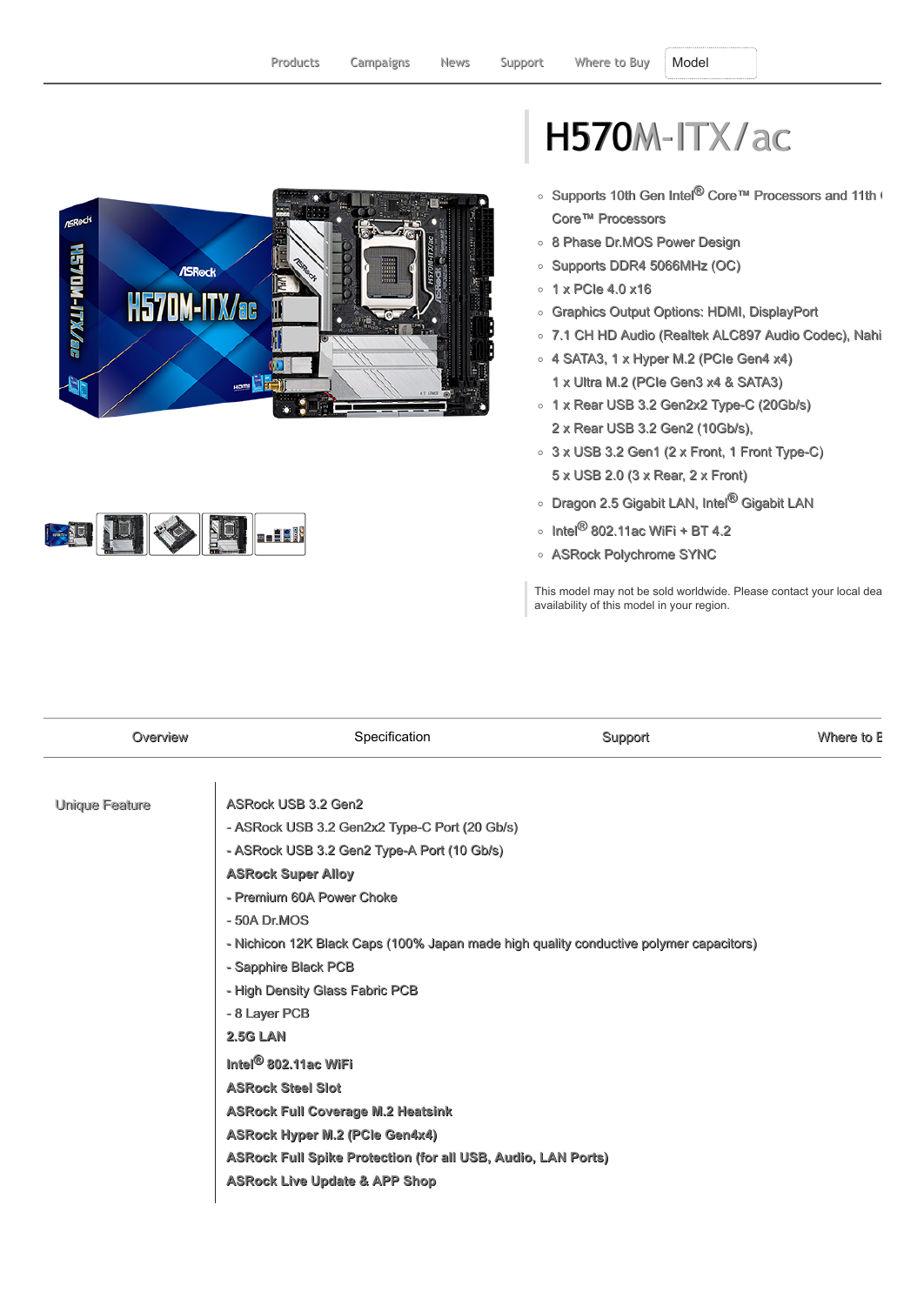



## H570M-ITX/ac

- Supports 10th Gen Intel<sup>®</sup> Core™ Processors and 11th ( Core™ Processors
- o 8 Phase Dr.MOS Power Design
- Supports DDR4 5066MHz (OC)
- $0.1$  x PCIe 4.0 x16
- Graphics Output Options: HDMI, DisplayPort
- 7.1 CH HD Audio (Realtek ALC897 Audio Codec), Nahi
- 4 SATA3, 1 x Hyper M.2 (PCIe Gen4 x4) 1 x Ultra M.2 (PCIe Gen3 x4 & SATA3)
- o 1 x Rear USB 3.2 Gen2x2 Type-C (20Gb/s) 2 x Rear USB 3.2 Gen2 (10Gb/s),
- $\circ$  3 x USB 3.2 Gen1 (2 x Front, 1 Front Type-C) 5 x USB 2.0 (3 x Rear, 2 x Front)
- Dragon 2.5 Gigabit LAN, Intel<sup>®</sup> Gigabit LAN
- $\circ$  Intel<sup>®</sup> 802.11ac WiFi + BT 4.2
- ASRock Polychrome SYNC

This model may not be sold worldwide. Please contact your local dea availability of this model in your region.

| Overview       | Specification                                                                          | Support | Where to E |
|----------------|----------------------------------------------------------------------------------------|---------|------------|
| Unique Feature | <b>ASRock USB 3.2 Gen2</b>                                                             |         |            |
|                | - ASRock USB 3.2 Gen2x2 Type-C Port (20 Gb/s)                                          |         |            |
|                | - ASRock USB 3.2 Gen2 Type-A Port (10 Gb/s)                                            |         |            |
|                | <b>ASRock Super Alloy</b>                                                              |         |            |
|                | - Premium 60A Power Choke                                                              |         |            |
|                | $-50A$ Dr.MOS                                                                          |         |            |
|                | - Nichicon 12K Black Caps (100% Japan made high quality conductive polymer capacitors) |         |            |
|                | - Sapphire Black PCB                                                                   |         |            |
|                | - High Density Glass Fabric PCB                                                        |         |            |
|                | - 8 Layer PCB                                                                          |         |            |
|                | <b>2.5G LAN</b>                                                                        |         |            |
|                | Intel <sup>®</sup> 802.11ac WiFi                                                       |         |            |
|                | <b>ASRock Steel Slot</b>                                                               |         |            |
|                | <b>ASRock Full Coverage M.2 Heatsink</b>                                               |         |            |
|                | <b>ASRock Hyper M.2 (PCle Gen4x4)</b>                                                  |         |            |
|                | ASRock Full Spike Protection (for all USB, Audio, LAN Ports)                           |         |            |
|                | <b>ASRock Live Update &amp; APP Shop</b>                                               |         |            |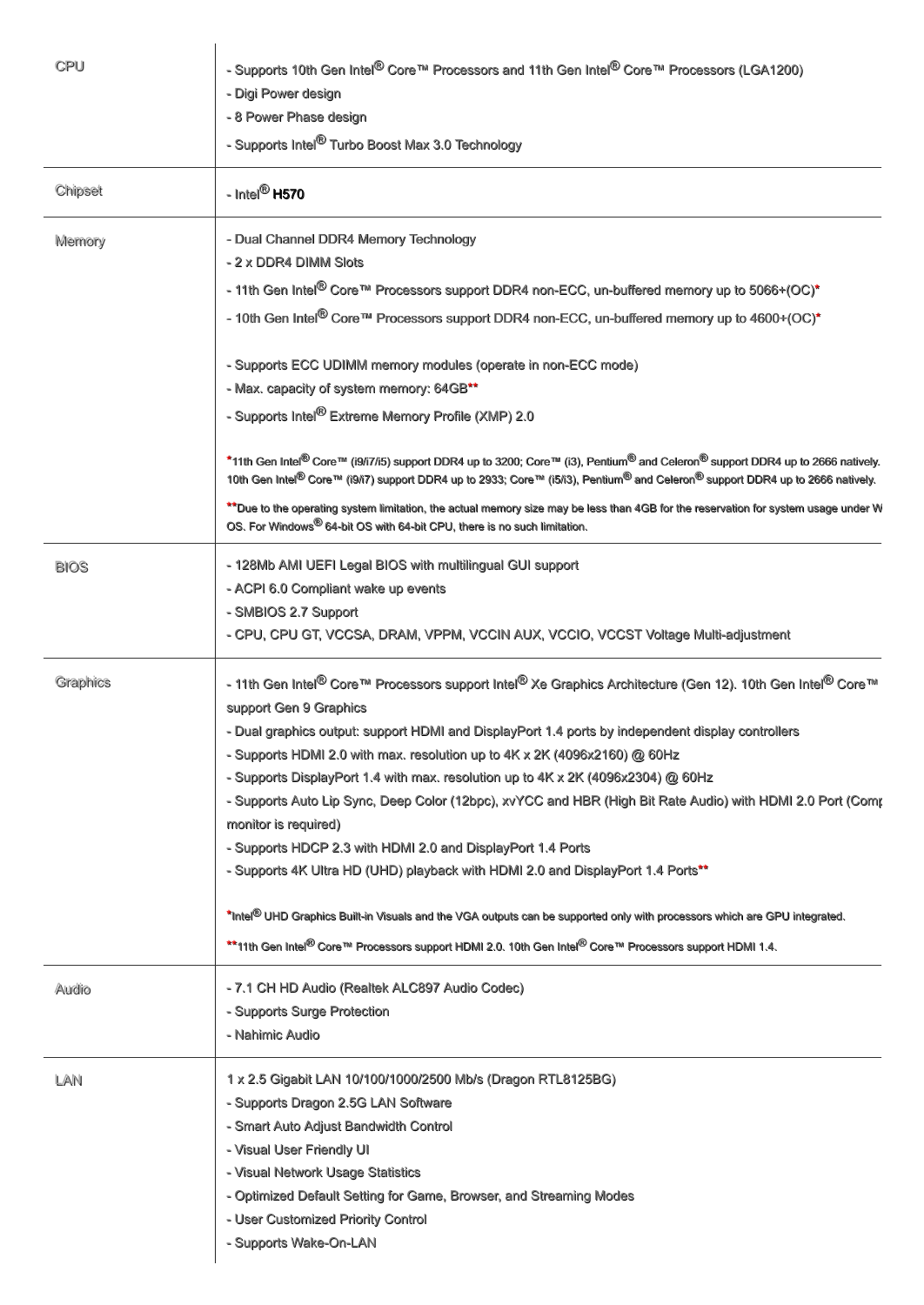| CPU         | - Supports 10th Gen Intel <sup>®</sup> Core™ Processors and 11th Gen Intel <sup>®</sup> Core™ Processors (LGA1200)<br>- Digi Power design<br>- 8 Power Phase design<br>- Supports Intel <sup>®</sup> Turbo Boost Max 3.0 Technology                                                                                                                                                                                                                                                                                                                                                                                                                                                                                                                                                                                                                                                                                                                                                                    |  |
|-------------|--------------------------------------------------------------------------------------------------------------------------------------------------------------------------------------------------------------------------------------------------------------------------------------------------------------------------------------------------------------------------------------------------------------------------------------------------------------------------------------------------------------------------------------------------------------------------------------------------------------------------------------------------------------------------------------------------------------------------------------------------------------------------------------------------------------------------------------------------------------------------------------------------------------------------------------------------------------------------------------------------------|--|
| Chipset     | - Intel <sup>®</sup> H570                                                                                                                                                                                                                                                                                                                                                                                                                                                                                                                                                                                                                                                                                                                                                                                                                                                                                                                                                                              |  |
| Memory      | - Dual Channel DDR4 Memory Technology<br>- 2 x DDR4 DIMM Slots<br>- 11th Gen Intel <sup>®</sup> Core™ Processors support DDR4 non-ECC, un-buffered memory up to 5066+(OC)*<br>- 10th Gen Intel <sup>®</sup> Core™ Processors support DDR4 non-ECC, un-buffered memory up to 4600+(OC)*                                                                                                                                                                                                                                                                                                                                                                                                                                                                                                                                                                                                                                                                                                                 |  |
|             | - Supports ECC UDIMM memory modules (operate in non-ECC mode)<br>- Max. capacity of system memory: 64GB**<br>- Supports Intel <sup>®</sup> Extreme Memory Profile (XMP) 2.0                                                                                                                                                                                                                                                                                                                                                                                                                                                                                                                                                                                                                                                                                                                                                                                                                            |  |
|             | *11th Gen Intel <sup>®</sup> Core™ (i9/i7/i5) support DDR4 up to 3200; Core™ (i3), Pentium® and Celeron® support DDR4 up to 2666 natively.<br>10th Gen Intel <sup>®</sup> Core™ (i9/i7) support DDR4 up to 2933; Core™ (i5/i3), Pentium® and Celeron® support DDR4 up to 2666 natively.<br>** Due to the operating system limitation, the actual memory size may be less than 4GB for the reservation for system usage under W<br>OS. For Windows <sup>®</sup> 64-bit OS with 64-bit CPU, there is no such limitation.                                                                                                                                                                                                                                                                                                                                                                                                                                                                                 |  |
| <b>BIOS</b> | - 128Mb AMI UEFI Legal BIOS with multilingual GUI support<br>- ACPI 6.0 Compliant wake up events<br>- SMBIOS 2.7 Support<br>- CPU, CPU GT, VCCSA, DRAM, VPPM, VCCIN AUX, VCCIO, VCCST Voltage Multi-adjustment                                                                                                                                                                                                                                                                                                                                                                                                                                                                                                                                                                                                                                                                                                                                                                                         |  |
| Graphics    | - 11th Gen Intel <sup>®</sup> Core™ Processors support Intel® Xe Graphics Architecture (Gen 12). 10th Gen Intel <sup>®</sup> Core™<br>support Gen 9 Graphics<br>- Dual graphics output: support HDMI and DisplayPort 1.4 ports by independent display controllers<br>- Supports HDMI 2.0 with max. resolution up to 4K x 2K (4096x2160) @ 60Hz<br>- Supports DisplayPort 1.4 with max. resolution up to 4K x 2K (4096x2304) @ 60Hz<br>- Supports Auto Lip Sync, Deep Color (12bpc), xvYCC and HBR (High Bit Rate Audio) with HDMI 2.0 Port (Comr<br>monitor is required)<br>- Supports HDCP 2.3 with HDMI 2.0 and DisplayPort 1.4 Ports<br>- Supports 4K Ultra HD (UHD) playback with HDMI 2.0 and DisplayPort 1.4 Ports**<br>*Intel <sup>®</sup> UHD Graphics Built-in Visuals and the VGA outputs can be supported only with processors which are GPU integrated.<br>**11th Gen Intel <sup>®</sup> Core™ Processors support HDMI 2.0. 10th Gen Intel <sup>®</sup> Core™ Processors support HDMI 1.4. |  |
| Audio       | - 7.1 CH HD Audio (Realtek ALC897 Audio Codec)<br>- Supports Surge Protection<br>- Nahimic Audio                                                                                                                                                                                                                                                                                                                                                                                                                                                                                                                                                                                                                                                                                                                                                                                                                                                                                                       |  |
| LAN         | 1 x 2.5 Gigabit LAN 10/100/1000/2500 Mb/s (Dragon RTL8125BG)<br>- Supports Dragon 2.5G LAN Software<br>- Smart Auto Adjust Bandwidth Control<br>- Visual User Friendly UI<br>- Visual Network Usage Statistics<br>- Optimized Default Setting for Game, Browser, and Streaming Modes<br>- User Customized Priority Control<br>- Supports Wake-On-LAN                                                                                                                                                                                                                                                                                                                                                                                                                                                                                                                                                                                                                                                   |  |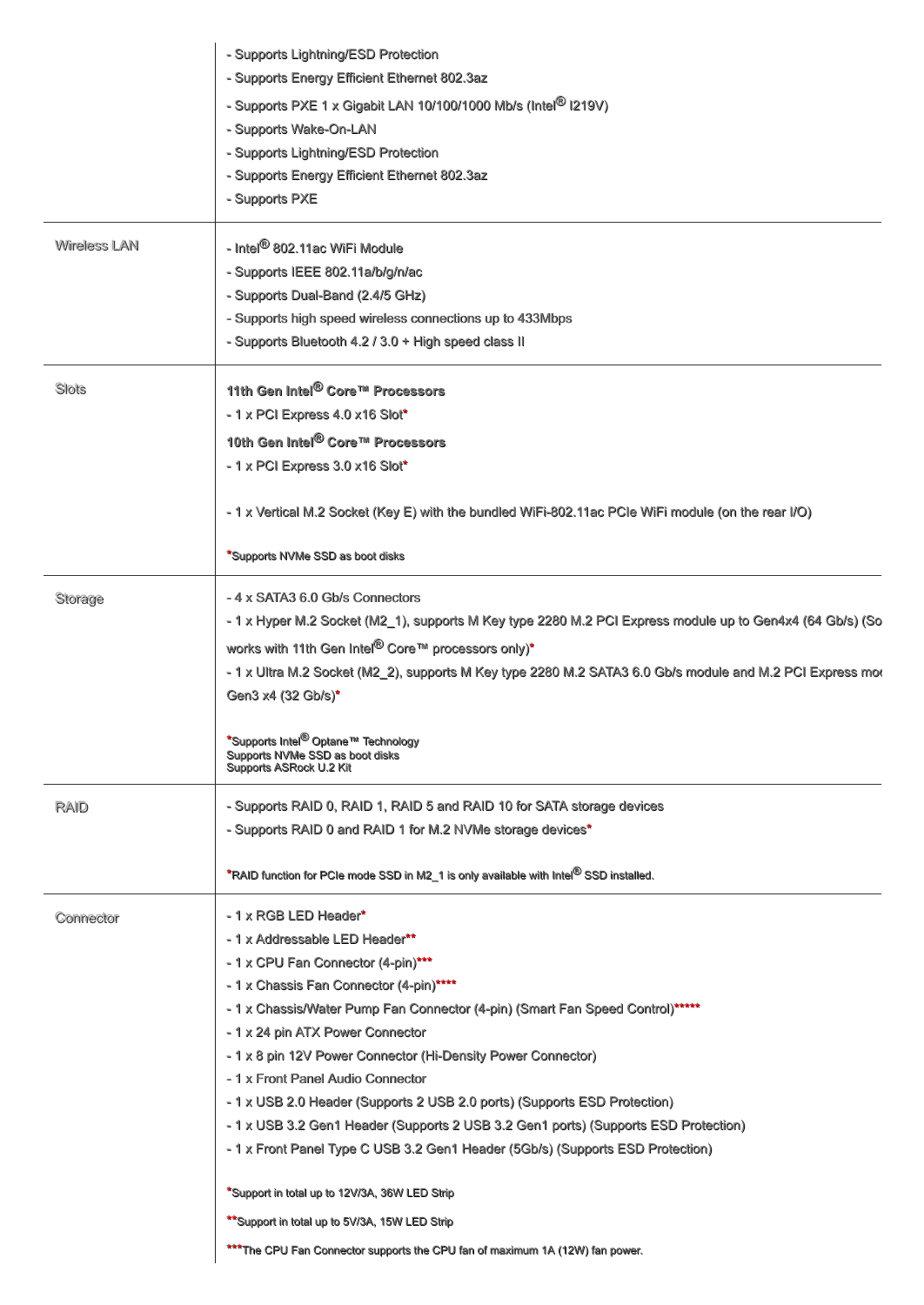| - Supports PXE 1 x Gigabit LAN 10/100/1000 Mb/s (Intel <sup>®</sup> I219V)<br>- Supports Wake-On-LAN<br>- Supports Lightning/ESD Protection<br>- Supports Energy Efficient Ethernet 802.3az<br>- Supports PXE<br>Wireless LAN<br>- Intel <sup>®</sup> 802.11ac WiFi Module<br>- Supports IEEE 802.11a/b/g/n/ac<br>- Supports Dual-Band (2.4/5 GHz)<br>- Supports high speed wireless connections up to 433Mbps<br>- Supports Bluetooth 4.2 / 3.0 + High speed class II<br>Slots<br>11th Gen Intel <sup>®</sup> Core™ Processors<br>$-1$ x PCI Express 4.0 x16 Slot*<br>10th Gen Intel <sup>®</sup> Core™ Processors<br>- 1 x PCI Express 3.0 x16 Slot*<br>- 1 x Vertical M.2 Socket (Key E) with the bundled WiFi-802.11ac PCIe WiFi module (on the rear I/O)<br>*Supports NVMe SSD as boot disks<br>-4 x SATA3 6.0 Gb/s Connectors<br>Storage<br>- 1 x Hyper M.2 Socket (M2_1), supports M Key type 2280 M.2 PCI Express module up to Gen4x4 (64 Gb/s) (So<br>works with 11th Gen Intel <sup>®</sup> Core™ processors only)*<br>- 1 x Ultra M.2 Socket (M2_2), supports M Key type 2280 M.2 SATA3 6.0 Gb/s module and M.2 PCI Express mot<br>Gen3 x4 (32 Gb/s)*<br><sup>*</sup> Supports Intel <sup>®</sup> Optane™ Technology<br>Supports NVMe SSD as boot disks<br>Supports ASRock U.2 Kit<br>- Supports RAID 0, RAID 1, RAID 5 and RAID 10 for SATA storage devices<br>RAID<br>- Supports RAID 0 and RAID 1 for M.2 NVMe storage devices*<br>*RAID function for PCIe mode SSD in M2_1 is only available with Intel® SSD installed.<br>- 1 x RGB LED Header*<br>Connector<br>- 1 x Addressable LED Header**<br>- 1 x CPU Fan Connector (4-pin)***<br>- 1 x Chassis Fan Connector (4-pin)****<br>- 1 x Chassis/Water Pump Fan Connector (4-pin) (Smart Fan Speed Control)*****<br>- 1 x 24 pin ATX Power Connector<br>- 1 x 8 pin 12V Power Connector (Hi-Density Power Connector)<br>- 1 x Front Panel Audio Connector<br>- 1 x USB 2.0 Header (Supports 2 USB 2.0 ports) (Supports ESD Protection) | - Supports Lightning/ESD Protection          |
|--------------------------------------------------------------------------------------------------------------------------------------------------------------------------------------------------------------------------------------------------------------------------------------------------------------------------------------------------------------------------------------------------------------------------------------------------------------------------------------------------------------------------------------------------------------------------------------------------------------------------------------------------------------------------------------------------------------------------------------------------------------------------------------------------------------------------------------------------------------------------------------------------------------------------------------------------------------------------------------------------------------------------------------------------------------------------------------------------------------------------------------------------------------------------------------------------------------------------------------------------------------------------------------------------------------------------------------------------------------------------------------------------------------------------------------------------------------------------------------------------------------------------------------------------------------------------------------------------------------------------------------------------------------------------------------------------------------------------------------------------------------------------------------------------------------------------------------------------------------------------------------------------------------------------------------------------------------------------------------------------------|----------------------------------------------|
|                                                                                                                                                                                                                                                                                                                                                                                                                                                                                                                                                                                                                                                                                                                                                                                                                                                                                                                                                                                                                                                                                                                                                                                                                                                                                                                                                                                                                                                                                                                                                                                                                                                                                                                                                                                                                                                                                                                                                                                                        | - Supports Energy Efficient Ethernet 802.3az |
|                                                                                                                                                                                                                                                                                                                                                                                                                                                                                                                                                                                                                                                                                                                                                                                                                                                                                                                                                                                                                                                                                                                                                                                                                                                                                                                                                                                                                                                                                                                                                                                                                                                                                                                                                                                                                                                                                                                                                                                                        |                                              |
|                                                                                                                                                                                                                                                                                                                                                                                                                                                                                                                                                                                                                                                                                                                                                                                                                                                                                                                                                                                                                                                                                                                                                                                                                                                                                                                                                                                                                                                                                                                                                                                                                                                                                                                                                                                                                                                                                                                                                                                                        |                                              |
|                                                                                                                                                                                                                                                                                                                                                                                                                                                                                                                                                                                                                                                                                                                                                                                                                                                                                                                                                                                                                                                                                                                                                                                                                                                                                                                                                                                                                                                                                                                                                                                                                                                                                                                                                                                                                                                                                                                                                                                                        |                                              |
|                                                                                                                                                                                                                                                                                                                                                                                                                                                                                                                                                                                                                                                                                                                                                                                                                                                                                                                                                                                                                                                                                                                                                                                                                                                                                                                                                                                                                                                                                                                                                                                                                                                                                                                                                                                                                                                                                                                                                                                                        |                                              |
|                                                                                                                                                                                                                                                                                                                                                                                                                                                                                                                                                                                                                                                                                                                                                                                                                                                                                                                                                                                                                                                                                                                                                                                                                                                                                                                                                                                                                                                                                                                                                                                                                                                                                                                                                                                                                                                                                                                                                                                                        |                                              |
|                                                                                                                                                                                                                                                                                                                                                                                                                                                                                                                                                                                                                                                                                                                                                                                                                                                                                                                                                                                                                                                                                                                                                                                                                                                                                                                                                                                                                                                                                                                                                                                                                                                                                                                                                                                                                                                                                                                                                                                                        |                                              |
|                                                                                                                                                                                                                                                                                                                                                                                                                                                                                                                                                                                                                                                                                                                                                                                                                                                                                                                                                                                                                                                                                                                                                                                                                                                                                                                                                                                                                                                                                                                                                                                                                                                                                                                                                                                                                                                                                                                                                                                                        |                                              |
|                                                                                                                                                                                                                                                                                                                                                                                                                                                                                                                                                                                                                                                                                                                                                                                                                                                                                                                                                                                                                                                                                                                                                                                                                                                                                                                                                                                                                                                                                                                                                                                                                                                                                                                                                                                                                                                                                                                                                                                                        |                                              |
|                                                                                                                                                                                                                                                                                                                                                                                                                                                                                                                                                                                                                                                                                                                                                                                                                                                                                                                                                                                                                                                                                                                                                                                                                                                                                                                                                                                                                                                                                                                                                                                                                                                                                                                                                                                                                                                                                                                                                                                                        |                                              |
|                                                                                                                                                                                                                                                                                                                                                                                                                                                                                                                                                                                                                                                                                                                                                                                                                                                                                                                                                                                                                                                                                                                                                                                                                                                                                                                                                                                                                                                                                                                                                                                                                                                                                                                                                                                                                                                                                                                                                                                                        |                                              |
|                                                                                                                                                                                                                                                                                                                                                                                                                                                                                                                                                                                                                                                                                                                                                                                                                                                                                                                                                                                                                                                                                                                                                                                                                                                                                                                                                                                                                                                                                                                                                                                                                                                                                                                                                                                                                                                                                                                                                                                                        |                                              |
|                                                                                                                                                                                                                                                                                                                                                                                                                                                                                                                                                                                                                                                                                                                                                                                                                                                                                                                                                                                                                                                                                                                                                                                                                                                                                                                                                                                                                                                                                                                                                                                                                                                                                                                                                                                                                                                                                                                                                                                                        |                                              |
|                                                                                                                                                                                                                                                                                                                                                                                                                                                                                                                                                                                                                                                                                                                                                                                                                                                                                                                                                                                                                                                                                                                                                                                                                                                                                                                                                                                                                                                                                                                                                                                                                                                                                                                                                                                                                                                                                                                                                                                                        |                                              |
|                                                                                                                                                                                                                                                                                                                                                                                                                                                                                                                                                                                                                                                                                                                                                                                                                                                                                                                                                                                                                                                                                                                                                                                                                                                                                                                                                                                                                                                                                                                                                                                                                                                                                                                                                                                                                                                                                                                                                                                                        |                                              |
|                                                                                                                                                                                                                                                                                                                                                                                                                                                                                                                                                                                                                                                                                                                                                                                                                                                                                                                                                                                                                                                                                                                                                                                                                                                                                                                                                                                                                                                                                                                                                                                                                                                                                                                                                                                                                                                                                                                                                                                                        |                                              |
|                                                                                                                                                                                                                                                                                                                                                                                                                                                                                                                                                                                                                                                                                                                                                                                                                                                                                                                                                                                                                                                                                                                                                                                                                                                                                                                                                                                                                                                                                                                                                                                                                                                                                                                                                                                                                                                                                                                                                                                                        |                                              |
|                                                                                                                                                                                                                                                                                                                                                                                                                                                                                                                                                                                                                                                                                                                                                                                                                                                                                                                                                                                                                                                                                                                                                                                                                                                                                                                                                                                                                                                                                                                                                                                                                                                                                                                                                                                                                                                                                                                                                                                                        |                                              |
|                                                                                                                                                                                                                                                                                                                                                                                                                                                                                                                                                                                                                                                                                                                                                                                                                                                                                                                                                                                                                                                                                                                                                                                                                                                                                                                                                                                                                                                                                                                                                                                                                                                                                                                                                                                                                                                                                                                                                                                                        |                                              |
|                                                                                                                                                                                                                                                                                                                                                                                                                                                                                                                                                                                                                                                                                                                                                                                                                                                                                                                                                                                                                                                                                                                                                                                                                                                                                                                                                                                                                                                                                                                                                                                                                                                                                                                                                                                                                                                                                                                                                                                                        |                                              |
|                                                                                                                                                                                                                                                                                                                                                                                                                                                                                                                                                                                                                                                                                                                                                                                                                                                                                                                                                                                                                                                                                                                                                                                                                                                                                                                                                                                                                                                                                                                                                                                                                                                                                                                                                                                                                                                                                                                                                                                                        |                                              |
|                                                                                                                                                                                                                                                                                                                                                                                                                                                                                                                                                                                                                                                                                                                                                                                                                                                                                                                                                                                                                                                                                                                                                                                                                                                                                                                                                                                                                                                                                                                                                                                                                                                                                                                                                                                                                                                                                                                                                                                                        |                                              |
|                                                                                                                                                                                                                                                                                                                                                                                                                                                                                                                                                                                                                                                                                                                                                                                                                                                                                                                                                                                                                                                                                                                                                                                                                                                                                                                                                                                                                                                                                                                                                                                                                                                                                                                                                                                                                                                                                                                                                                                                        |                                              |
|                                                                                                                                                                                                                                                                                                                                                                                                                                                                                                                                                                                                                                                                                                                                                                                                                                                                                                                                                                                                                                                                                                                                                                                                                                                                                                                                                                                                                                                                                                                                                                                                                                                                                                                                                                                                                                                                                                                                                                                                        |                                              |
|                                                                                                                                                                                                                                                                                                                                                                                                                                                                                                                                                                                                                                                                                                                                                                                                                                                                                                                                                                                                                                                                                                                                                                                                                                                                                                                                                                                                                                                                                                                                                                                                                                                                                                                                                                                                                                                                                                                                                                                                        |                                              |
|                                                                                                                                                                                                                                                                                                                                                                                                                                                                                                                                                                                                                                                                                                                                                                                                                                                                                                                                                                                                                                                                                                                                                                                                                                                                                                                                                                                                                                                                                                                                                                                                                                                                                                                                                                                                                                                                                                                                                                                                        |                                              |
|                                                                                                                                                                                                                                                                                                                                                                                                                                                                                                                                                                                                                                                                                                                                                                                                                                                                                                                                                                                                                                                                                                                                                                                                                                                                                                                                                                                                                                                                                                                                                                                                                                                                                                                                                                                                                                                                                                                                                                                                        |                                              |
|                                                                                                                                                                                                                                                                                                                                                                                                                                                                                                                                                                                                                                                                                                                                                                                                                                                                                                                                                                                                                                                                                                                                                                                                                                                                                                                                                                                                                                                                                                                                                                                                                                                                                                                                                                                                                                                                                                                                                                                                        |                                              |
|                                                                                                                                                                                                                                                                                                                                                                                                                                                                                                                                                                                                                                                                                                                                                                                                                                                                                                                                                                                                                                                                                                                                                                                                                                                                                                                                                                                                                                                                                                                                                                                                                                                                                                                                                                                                                                                                                                                                                                                                        |                                              |
|                                                                                                                                                                                                                                                                                                                                                                                                                                                                                                                                                                                                                                                                                                                                                                                                                                                                                                                                                                                                                                                                                                                                                                                                                                                                                                                                                                                                                                                                                                                                                                                                                                                                                                                                                                                                                                                                                                                                                                                                        |                                              |
|                                                                                                                                                                                                                                                                                                                                                                                                                                                                                                                                                                                                                                                                                                                                                                                                                                                                                                                                                                                                                                                                                                                                                                                                                                                                                                                                                                                                                                                                                                                                                                                                                                                                                                                                                                                                                                                                                                                                                                                                        |                                              |
|                                                                                                                                                                                                                                                                                                                                                                                                                                                                                                                                                                                                                                                                                                                                                                                                                                                                                                                                                                                                                                                                                                                                                                                                                                                                                                                                                                                                                                                                                                                                                                                                                                                                                                                                                                                                                                                                                                                                                                                                        |                                              |
|                                                                                                                                                                                                                                                                                                                                                                                                                                                                                                                                                                                                                                                                                                                                                                                                                                                                                                                                                                                                                                                                                                                                                                                                                                                                                                                                                                                                                                                                                                                                                                                                                                                                                                                                                                                                                                                                                                                                                                                                        |                                              |
|                                                                                                                                                                                                                                                                                                                                                                                                                                                                                                                                                                                                                                                                                                                                                                                                                                                                                                                                                                                                                                                                                                                                                                                                                                                                                                                                                                                                                                                                                                                                                                                                                                                                                                                                                                                                                                                                                                                                                                                                        |                                              |
|                                                                                                                                                                                                                                                                                                                                                                                                                                                                                                                                                                                                                                                                                                                                                                                                                                                                                                                                                                                                                                                                                                                                                                                                                                                                                                                                                                                                                                                                                                                                                                                                                                                                                                                                                                                                                                                                                                                                                                                                        |                                              |
|                                                                                                                                                                                                                                                                                                                                                                                                                                                                                                                                                                                                                                                                                                                                                                                                                                                                                                                                                                                                                                                                                                                                                                                                                                                                                                                                                                                                                                                                                                                                                                                                                                                                                                                                                                                                                                                                                                                                                                                                        |                                              |
| - 1 x USB 3.2 Gen1 Header (Supports 2 USB 3.2 Gen1 ports) (Supports ESD Protection)                                                                                                                                                                                                                                                                                                                                                                                                                                                                                                                                                                                                                                                                                                                                                                                                                                                                                                                                                                                                                                                                                                                                                                                                                                                                                                                                                                                                                                                                                                                                                                                                                                                                                                                                                                                                                                                                                                                    |                                              |
| - 1 x Front Panel Type C USB 3.2 Gen1 Header (5Gb/s) (Supports ESD Protection)                                                                                                                                                                                                                                                                                                                                                                                                                                                                                                                                                                                                                                                                                                                                                                                                                                                                                                                                                                                                                                                                                                                                                                                                                                                                                                                                                                                                                                                                                                                                                                                                                                                                                                                                                                                                                                                                                                                         |                                              |
|                                                                                                                                                                                                                                                                                                                                                                                                                                                                                                                                                                                                                                                                                                                                                                                                                                                                                                                                                                                                                                                                                                                                                                                                                                                                                                                                                                                                                                                                                                                                                                                                                                                                                                                                                                                                                                                                                                                                                                                                        |                                              |
| *Support in total up to 12V/3A, 36W LED Strip                                                                                                                                                                                                                                                                                                                                                                                                                                                                                                                                                                                                                                                                                                                                                                                                                                                                                                                                                                                                                                                                                                                                                                                                                                                                                                                                                                                                                                                                                                                                                                                                                                                                                                                                                                                                                                                                                                                                                          |                                              |
| **Support in total up to 5V/3A, 15W LED Strip                                                                                                                                                                                                                                                                                                                                                                                                                                                                                                                                                                                                                                                                                                                                                                                                                                                                                                                                                                                                                                                                                                                                                                                                                                                                                                                                                                                                                                                                                                                                                                                                                                                                                                                                                                                                                                                                                                                                                          |                                              |
| *** The CPU Fan Connector supports the CPU fan of maximum 1A (12W) fan power.                                                                                                                                                                                                                                                                                                                                                                                                                                                                                                                                                                                                                                                                                                                                                                                                                                                                                                                                                                                                                                                                                                                                                                                                                                                                                                                                                                                                                                                                                                                                                                                                                                                                                                                                                                                                                                                                                                                          |                                              |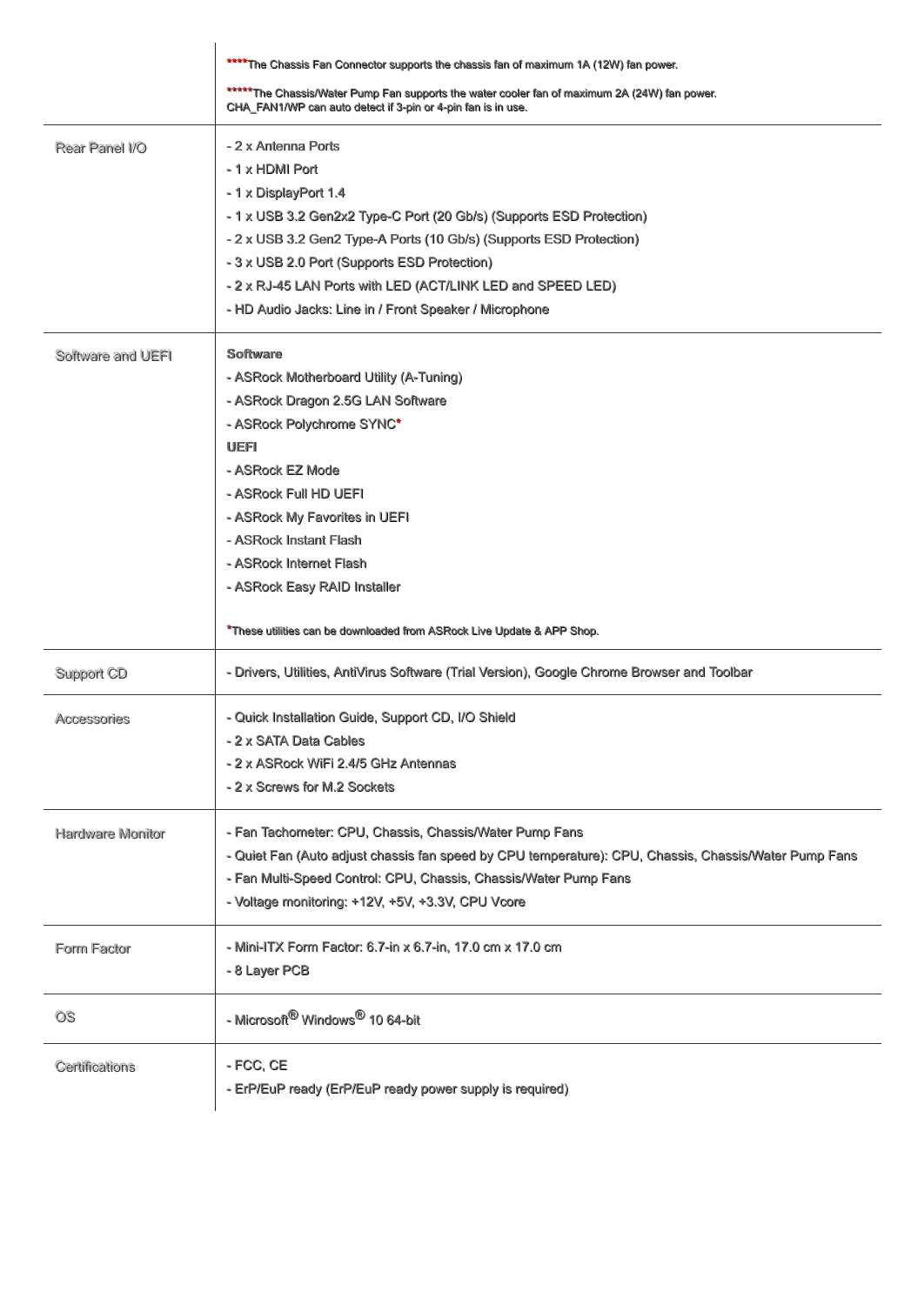|                         | **** The Chassis Fan Connector supports the chassis fan of maximum 1A (12W) fan power.                                                                                                                                                                                                                                                                                                   |
|-------------------------|------------------------------------------------------------------------------------------------------------------------------------------------------------------------------------------------------------------------------------------------------------------------------------------------------------------------------------------------------------------------------------------|
|                         | ***** The Chassis/Water Pump Fan supports the water cooler fan of maximum 2A (24W) fan power.<br>CHA_FAN1/WP can auto detect if 3-pin or 4-pin fan is in use.                                                                                                                                                                                                                            |
| Rear Panel I/O          | - 2 x Antenna Ports<br>-1 x HDMI Port<br>-1 x DisplayPort 1.4<br>- 1 x USB 3.2 Gen2x2 Type-C Port (20 Gb/s) (Supports ESD Protection)<br>- 2 x USB 3.2 Gen2 Type-A Ports (10 Gb/s) (Supports ESD Protection)<br>- 3 x USB 2.0 Port (Supports ESD Protection)<br>- 2 x RJ-45 LAN Ports with LED (ACT/LINK LED and SPEED LED)<br>- HD Audio Jacks: Line in / Front Speaker / Microphone    |
| Software and UEFI       | <b>Software</b><br>- ASRock Motherboard Utility (A-Tuning)<br>- ASRock Dragon 2.5G LAN Software<br>- ASRock Polychrome SYNC*<br><b>UEFI</b><br>- ASRock EZ Mode<br>- ASRock Full HD UEFI<br>- ASRock My Favorites in UEFI<br>- ASRock Instant Flash<br>- ASRock Internet Flash<br>- ASRock Easy RAID Installer<br>*These utilities can be downloaded from ASRock Live Update & APP Shop. |
| Support CD              | - Drivers, Utilities, AntiVirus Software (Trial Version), Google Chrome Browser and Toolbar                                                                                                                                                                                                                                                                                              |
| Accessories             | - Quick Installation Guide, Support CD, I/O Shield<br>- 2 x SATA Data Cables<br>- 2 x ASRock WiFi 2.4/5 GHz Antennas<br>- 2 x Screws for M.2 Sockets                                                                                                                                                                                                                                     |
| <b>Hardware Monitor</b> | - Fan Tachometer: CPU, Chassis, Chassis/Water Pump Fans<br>- Quiet Fan (Auto adjust chassis fan speed by CPU temperature): CPU, Chassis, Chassis/Water Pump Fans<br>- Fan Multi-Speed Control: CPU, Chassis, Chassis/Water Pump Fans<br>- Voltage monitoring: +12V, +5V, +3.3V, CPU Vcore                                                                                                |
| Form Factor             | - Mini-ITX Form Factor: 6.7-in x 6.7-in, 17.0 cm x 17.0 cm<br>- 8 Layer PCB                                                                                                                                                                                                                                                                                                              |
| OS.                     | - Microsoft <sup>®</sup> Windows <sup>®</sup> 10 64-bit                                                                                                                                                                                                                                                                                                                                  |
| Certifications          | - FCC, CE<br>- ErP/EuP ready (ErP/EuP ready power supply is required)                                                                                                                                                                                                                                                                                                                    |